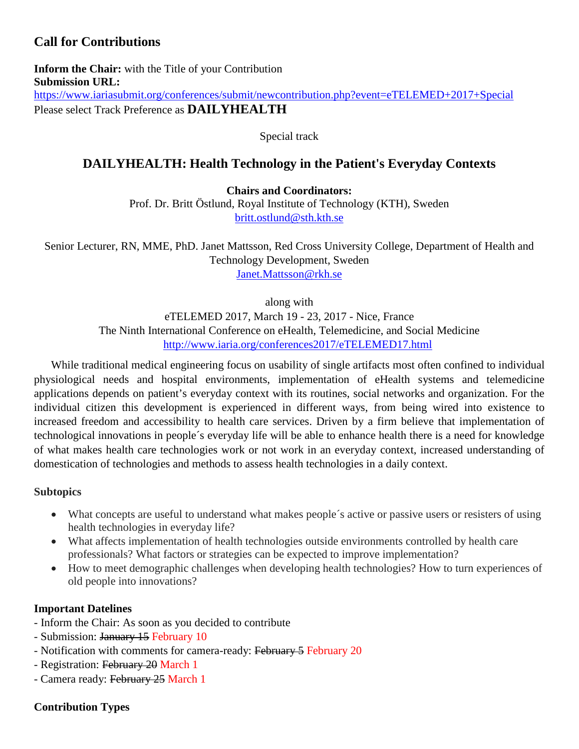# **Call for Contributions**

**Inform the Chair:** with the Title of your Contribution **Submission URL:** <https://www.iariasubmit.org/conferences/submit/newcontribution.php?event=eTELEMED+2017+Special> Please select Track Preference as **DAILYHEALTH**

Special track

## **DAILYHEALTH: Health Technology in the Patient's Everyday Contexts**

**Chairs and Coordinators:**

Prof. Dr. Britt Östlund, Royal Institute of Technology (KTH), Sweden [britt.ostlund@sth.kth.se](mailto:britt.ostlund@sth.kth.se)

Senior Lecturer, RN, MME, PhD. Janet Mattsson, Red Cross University College, Department of Health and Technology Development, Sweden [Janet.Mattsson@rkh.se](mailto:Janet.Mattsson@rkh.se)

along with

eTELEMED 2017, March 19 - 23, 2017 - Nice, France The Ninth International Conference on eHealth, Telemedicine, and Social Medicine <http://www.iaria.org/conferences2017/eTELEMED17.html>

While traditional medical engineering focus on usability of single artifacts most often confined to individual physiological needs and hospital environments, implementation of eHealth systems and telemedicine applications depends on patient's everyday context with its routines, social networks and organization. For the individual citizen this development is experienced in different ways, from being wired into existence to increased freedom and accessibility to health care services. Driven by a firm believe that implementation of technological innovations in people´s everyday life will be able to enhance health there is a need for knowledge of what makes health care technologies work or not work in an everyday context, increased understanding of domestication of technologies and methods to assess health technologies in a daily context.

## **Subtopics**

- What concepts are useful to understand what makes people´s active or passive users or resisters of using health technologies in everyday life?
- What affects implementation of health technologies outside environments controlled by health care professionals? What factors or strategies can be expected to improve implementation?
- How to meet demographic challenges when developing health technologies? How to turn experiences of old people into innovations?

## **Important Datelines**

- Inform the Chair: As soon as you decided to contribute
- Submission: January 15 February 10
- Notification with comments for camera-ready: February 5 February 20
- Registration: February 20 March 1
- Camera ready: February 25 March 1

## **Contribution Types**